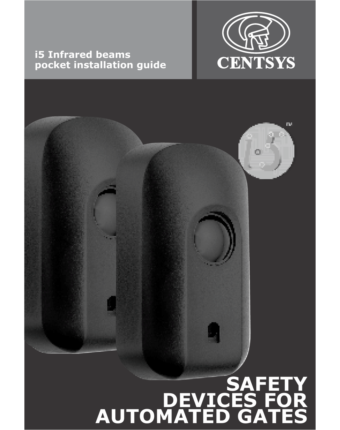# **CENTSYS**

n.

# **i5 Infrared beams pocket installation guide**

## **SAFETY DEVICES FOR AUTOMATED GATES**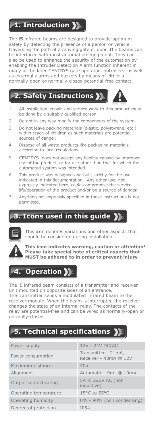## **1. Introduction**

The **i5** infrared beams are designed to provide optimum safety by detecting the presence of a person or vehicle traversing the path of a moving gate or door. The beams can be interfaced with most automation equipment. They can also be used to enhance the security of the automation by enabling the Intruder Detection Alarm function inherent in many of the later CENTSYS gate operator controllers, as well as external alarms and buzzers by means of either a normally-open or normally-closed potential-free contact.

## **2. Safety Instructions**



- 1. All installation, repair, and service work to this product must be done by a suitably qualified person.
- 2. Do not in any way modify the components of the system.
- 3. Do not leave packing materials (plastic, polystyrene, etc.) within reach of children as such materials are potential sources of danger.
- 4. Dispose of all waste products like packaging materials, according to local regulations.
- 5. CENTSYS does not accept any liability caused by improper use of the product, or for use other than that for which the automated system was intended.
- 6. This product was designed and built strictly for the use indicated in this documentation. Any other use, not expressly indicated here, could compromise the service life/operation of the product and/or be a source of danger.
- 7. Anything not expressly specified in these instructions is not permitted.

# **3. Icons used in this guide**



This icon denotes variations and other aspects that should be considered during installation



**This icon indicates warning, caution or attention! Please take special note of critical aspects that MUST be adhered to in order to prevent injury**

## **Operation >**

The i5 infrared beam consists of a transmitter and receiver unit mounted on opposite sides of an entrance. The transmitter sends a modulated infrared beam to the receiver module. When the beam is interrupted the receiver changes the state of an internal relay. The contacts of the relay are potential-free and can be wired as normally-open or normally-closed.

# **5. Technical specifications**

| Power supply          | 12V - 24V DC/AC                              |
|-----------------------|----------------------------------------------|
| Power consumption     | Transmitter - 21mA,<br>Receiver - 43mA @ 12V |
| Maximum distance      | 40m                                          |
| Alignment             | Automatic - $9m^2$ @ 10m#                    |
| Output contact rating | 5A @ 220V AC (non<br>inductive)              |
| Operating temperature | 15°C to 55°C                                 |
| Operating humidity    | 0% - 90% (non condensing)                    |
| Degree of protection  | <b>IP54</b>                                  |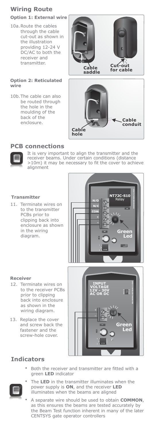## **Wiring Route**

#### **Option 1: External wire**

10a. Route the cables through the cable cut-out as shown in the illustration providing 12-24 V DC/AC to both the receiver and transmitter.

#### **Option 2: Reticulated wire**

10b. The cable can also be routed through the hole in the moulding of the back of the enclosure.



#### **PCB connections**



It is very important to align the transmitter and the receiver beams. Under certain conditions (distance >10m) it may be necessary to fit the cover to achieve alignment

#### **Transmitter**

11. Terminate wires on to the transmitter PCBs prior to clipping back into enclosure as shown in the wiring diagram.



#### **Receiver**

- 12. Terminate wires on to the receiver PCBs prior to clipping back into enclosure as shown in the wiring diagram.
- 13. Replace the cover and screw back the fastener and the screw-hole cover.



#### **Indicators**

 Both the receiver and transmitter are fitted with a green **LED** indicator



- The **LED** in the transmitter illuminates when the power supply is **ON**, and the receiver **LED** illuminates when the beams are aligned
- A separate wire should be used to obtain **COMMON**, as this ensures the beams are tested accurately by the Beam Test function inherent in many of the later CENTSYS gate operator controllers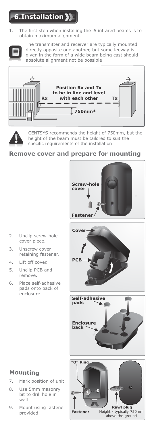# **6.Installation**

1. The first step when installing the i5 infrared beams is to obtain maximum alignment.



The transmitter and receiver are typically mounted directly opposite one another, but some leeway is given in the form of a wide beam being cast should absolute alignment not be possible





CENTSYS recommends the height of 750mm, but the height of the beam must be tailored to suit the specific requirements of the installation

#### **Remove cover and prepare for mounting**



- 2. Unclip screw-hole cover piece.
- 3. Unscrew cover retaining fastener.
- 4. Lift off cover.
- 5. Unclip PCB and remove.
- 6. Place self-adhesive pads onto back of enclosure







### **Mounting**

- 7. Mark position of unit.
- 8. Use 5mm masonry bit to drill hole in wall.
- 9. Mount using fastener provided.